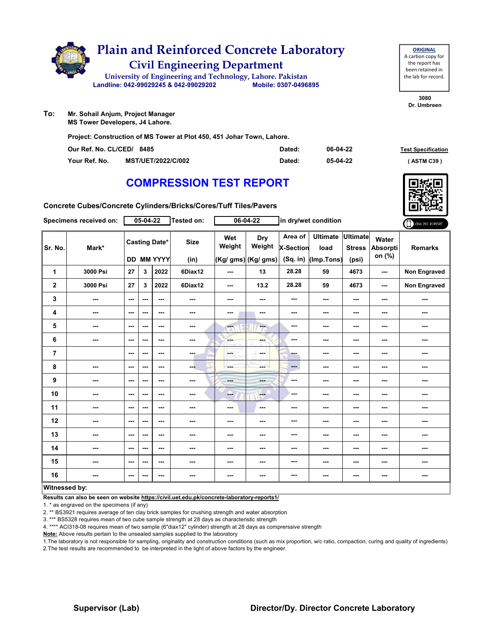

| <b>ORIGINAL</b>     |
|---------------------|
| A carbon copy for   |
| the report has      |
| been retained in    |
| the lab for record. |
|                     |

**3080 Dr. Umbreen**

**To: Mr. Sohail Anjum, Project Manager**

**MS Tower Developers, J4 Lahore.**

**Project: Construction of MS Tower at Plot 450, 451 Johar Town, Lahore.**

| Our Ref. No. CL/CED/ 8485 |                           | Dated: | 06-04-22 | <b>Test Specification</b> |
|---------------------------|---------------------------|--------|----------|---------------------------|
| Your Ref. No.             | <b>MST/UET/2022/C/002</b> | Dated: | 05-04-22 | ASTM C39 '                |

# **COMPRESSION TEST REPORT**



**Concrete Cubes/Concrete Cylinders/Bricks/Cores/Tuff Tiles/Pavers**

|                      | Specimens received on: |               | 05-04-22 |                                    | <b>Tested on:</b>   |               | 06-04-22                                    |                                         | in dry/wet condition                  |                                           |                             | ONLINE REPORT       |
|----------------------|------------------------|---------------|----------|------------------------------------|---------------------|---------------|---------------------------------------------|-----------------------------------------|---------------------------------------|-------------------------------------------|-----------------------------|---------------------|
| Sr. No.              | Mark*                  |               |          | <b>Casting Date*</b><br>DD MM YYYY | <b>Size</b><br>(in) | Wet<br>Weight | <b>Dry</b><br>Weight<br>(Kg/ gms) (Kg/ gms) | Area of<br><b>X-Section</b><br>(Sq. in) | <b>Ultimate</b><br>load<br>(Imp.Tons) | <b>Ultimate</b><br><b>Stress</b><br>(psi) | Water<br>Absorpti<br>on (%) | <b>Remarks</b>      |
| 1                    | 3000 Psi               | 27            | 3        | 2022                               | 6Diax12             | ---           | 13                                          | 28.28                                   | 59                                    | 4673                                      | ---                         | <b>Non Engraved</b> |
| $\mathbf{2}$         | 3000 Psi               | 27            | 3        | 2022                               | 6Diax12             | $--$          | 13.2                                        | 28.28                                   | 59                                    | 4673                                      | ---                         | Non Engraved        |
| 3                    | ---                    | ---           | ---      | ---                                | ---                 | ---           | ---                                         | ---                                     | ---                                   | $--$                                      | ---                         | ---                 |
| 4                    | ---                    | $\sim$ $\sim$ | ---      | $\overline{\phantom{a}}$           | ---                 | ---           | ---                                         | ---                                     | ---                                   | ---                                       | ---                         | ---                 |
| 5                    | ---                    | ---           | ---      | $-$                                | ---                 | ---           | ---                                         | ---                                     | ---                                   | $--$                                      | ---                         | ---                 |
| 6                    | ---                    | ---           | ---      | ---                                | ---                 | <b>SHOP</b>   | ---                                         | ---                                     | ---                                   | ---                                       | ---                         | ---                 |
| $\overline{7}$       |                        | ---           | ---      | ---                                | ---                 | L.<br>LORD WH | <b>Service</b>                              | ---                                     | ---                                   | $\overline{\phantom{a}}$                  | ---                         | ---                 |
| 8                    | ---                    | ---           | ---      | ---                                | ---                 | ---           | mente del                                   | ---                                     | ---                                   | ---                                       | ---                         | ---                 |
| 9                    | ---                    | ---           | ---      | ---                                | ---                 | ---           | ---                                         | ---                                     | ---                                   | $--$                                      | ---                         | ---                 |
| 10                   | ---                    | $--$          | ---      | ---                                | ---                 | ---           | $-$                                         | ---                                     | ---                                   | ---                                       | ---                         | ---                 |
| 11                   | ---                    | ---           | ---      | ---                                | ---                 | ---           | $\overline{\phantom{a}}$                    | ---                                     | ---                                   | ---                                       | ---                         | ---                 |
| 12                   | ---                    | ---           | ---      | ---                                | ---                 | ---           | ---                                         | ---                                     | ---                                   | ---                                       | ---                         | ---                 |
| 13                   | ---                    | ---           | ---      | ---                                | ---                 | ---           | ---                                         | ---                                     | ---                                   | ---                                       | ---                         | ---                 |
| 14                   | ---                    | $-$           | ---      | ---                                | ---                 | ---           | ---                                         | ---                                     | ---                                   | ---                                       | ---                         | ---                 |
| 15                   | ---                    | ---           | ---      | ---                                | ---                 | ---           | ---                                         | ---                                     | ---                                   | ---                                       | ---                         | ---                 |
| 16                   | ---                    | ---           | ---      | ---                                | ---                 | ---           | ---                                         | ---                                     | ---                                   | ---                                       | ---                         | ---                 |
| <b>Witnessed by:</b> |                        |               |          |                                    |                     |               |                                             |                                         |                                       |                                           |                             |                     |

### **Witnessed by:**

**Results can also be seen on website https://civil.uet.edu.pk/concrete-laboratory-reports1/**

1. \* as engraved on the specimens (if any)

2. \*\* BS3921 requires average of ten clay brick samples for crushing strength and water absorption

3. \*\*\* BS5328 requires mean of two cube sample strength at 28 days as characteristic strength

4. \*\*\*\* ACI318-08 requires mean of two sample (6"diax12" cylinder) strength at 28 days as comprerssive strength

**Note:** Above results pertain to the unsealed samples supplied to the laboratory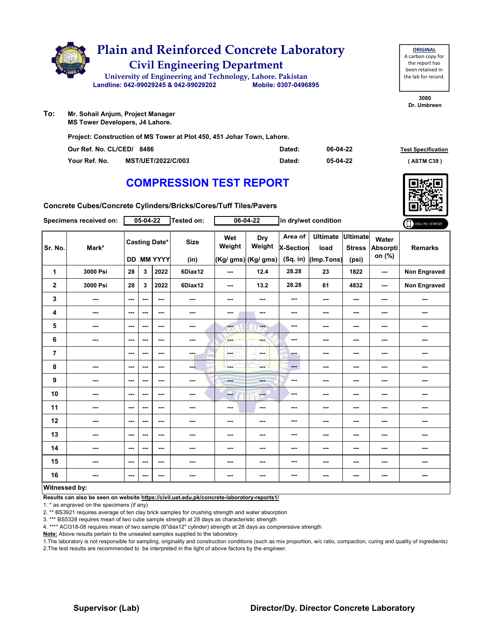

- **To: Mr. Sohail Anjum, Project Manager**
	- **MS Tower Developers, J4 Lahore.**

**Project: Construction of MS Tower at Plot 450, 451 Johar Town, Lahore.**

| Our Ref. No. CL/CED/ 8486 |                           | Dated: | 06-04-22 | <b>Test Specification</b> |
|---------------------------|---------------------------|--------|----------|---------------------------|
| Your Ref. No.             | <b>MST/UET/2022/C/003</b> | Dated: | 05-04-22 | ASTM C39                  |

# **COMPRESSION TEST REPORT**

**3080 Dr. Umbreen**

**ORIGINAL** A carbon copy for the report has been retained in the lab for record.

| Concrete Cubes/Concrete Cylinders/Bricks/Cores/Tuff Tiles/Pavers |  |
|------------------------------------------------------------------|--|
|------------------------------------------------------------------|--|

|                         | Specimens received on:   |                          | $05 - 04 - 22$ |                                    | <b>Tested on:</b>        |                            | 06-04-22                                    |                                           | in dry/wet condition                  |                                    |                             | ONLINE REPORT  |
|-------------------------|--------------------------|--------------------------|----------------|------------------------------------|--------------------------|----------------------------|---------------------------------------------|-------------------------------------------|---------------------------------------|------------------------------------|-----------------------------|----------------|
| Sr. No.                 | Mark*                    |                          |                | <b>Casting Date*</b><br>DD MM YYYY | <b>Size</b><br>(in)      | Wet<br>Weight              | <b>Dry</b><br>Weight<br>(Kg/ gms) (Kg/ gms) | Area of<br><b>X-Section</b><br>$(Sq.$ in) | <b>Ultimate</b><br>load<br>(Imp.Tons) | Ultimate<br><b>Stress</b><br>(psi) | Water<br>Absorpti<br>on (%) | <b>Remarks</b> |
| 1                       | 3000 Psi                 | 28                       | 3              | 2022                               | 6Diax12                  | ---                        | 12.4                                        | 28.28                                     | 23                                    | 1822                               | ---                         | Non Engraved   |
| $\overline{\mathbf{2}}$ | 3000 Psi                 | 28                       | 3              | 2022                               | 6Diax12                  | $\sim$                     | 13.2                                        | 28.28                                     | 61                                    | 4832                               | $\frac{1}{2}$               | Non Engraved   |
| 3                       | ---                      | $\sim$ $\sim$            | ---            | $- - -$                            | ---                      | ---                        | ---                                         | ---                                       | ---                                   | $--$                               | ---                         | ---            |
| 4                       | ---                      | $\sim$ $\sim$            | ---            | $--$                               | $\overline{\phantom{a}}$ | ---                        | ---                                         | ---                                       | ---                                   | $--$                               | ---                         | ---            |
| 5                       | ---                      | $\overline{\phantom{a}}$ | ---            | $--$                               | ---                      | ---                        | ---                                         | ---                                       | ---                                   | ---                                | ---                         | ---            |
| 6                       | ---                      | $\cdots$                 | ---            | ---                                | ---                      | ---                        | ---                                         | ---                                       | ---                                   | ---                                | ---                         | ---            |
| $\overline{7}$          |                          | $\sim$                   | ---            | ---                                | ---                      | A.<br>W<br><b>CORD WHE</b> | -F.<br>and a                                | ---                                       | ---                                   | ---                                | ---                         | ---            |
| 8                       | ---                      | $\sim$ $\sim$            | ---            | $--$                               | ---                      | ---                        | ---                                         | ---                                       | ---                                   | $--$                               | ---                         | ---            |
| 9                       | ---                      | $-$                      | ---            | $- - -$                            | $\cdots$                 | <b>Hotel</b>               | ---                                         | ---                                       | ---                                   | ---                                | ---                         | ---            |
| 10                      | ---                      | $\sim$ $\sim$            | ---            | ---                                | ---                      | ---                        | <b>Fee</b>                                  | ---                                       | ---                                   | ---                                | ---                         | ---            |
| 11                      | $\overline{\phantom{a}}$ | $\sim$ $\sim$            | ---            | ---                                | ---                      | $\overline{\phantom{a}}$   | $\sim$                                      | ---                                       | ---                                   | $--$                               | ---                         | ---            |
| 12                      | ---                      | $\sim$                   | ---            | ---                                | ---                      | ---                        | ---                                         | ---                                       | ---                                   | ---                                | ---                         | ---            |
| 13                      | ---                      | $\sim$                   | ---            | ---                                | ---                      | ---                        | ---                                         | ---                                       | ---                                   | ---                                | ---                         | ---            |
| 14                      | ---                      | $\sim$                   | ---            | ---                                | ---                      | ---                        | ---                                         | ---                                       | ---                                   | ---                                | ---                         | ---            |
| 15                      | ---                      | $\sim$ $\sim$            | ---            | $--$                               | ---                      | ---                        | ---                                         | ---                                       | ---                                   | ---                                | ---                         | ---            |
| 16                      | ---                      | $\sim$ $\sim$            | ---            | ---                                | ---                      | $\overline{\phantom{a}}$   | ---                                         | ---                                       | ---                                   | ---                                | ---                         | ---            |
| <b>Witnessed by:</b>    |                          |                          |                |                                    |                          |                            |                                             |                                           |                                       |                                    |                             |                |

### **Witnessed by:**

**Results can also be seen on website https://civil.uet.edu.pk/concrete-laboratory-reports1/**

1. \* as engraved on the specimens (if any)

2. \*\* BS3921 requires average of ten clay brick samples for crushing strength and water absorption

3. \*\*\* BS5328 requires mean of two cube sample strength at 28 days as characteristic strength

4. \*\*\*\* ACI318-08 requires mean of two sample (6"diax12" cylinder) strength at 28 days as comprerssive strength

**Note:** Above results pertain to the unsealed samples supplied to the laboratory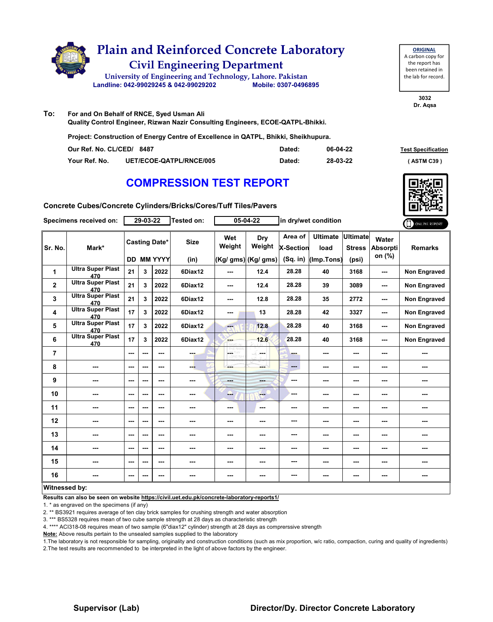

| <b>ORIGINAL</b>     |
|---------------------|
| A carbon copy for   |
| the report has      |
| been retained in    |
| the lab for record. |
|                     |

**3032 Dr. Aqsa**

**To: For and On Behalf of RNCE, Syed Usman Ali Quality Control Engineer, Rizwan Nazir Consulting Engineers, ECOE-QATPL-Bhikki.**

**Project: Construction of Energy Centre of Excellence in QATPL, Bhikki, Sheikhupura.**

| Our Ref. No. CL/CED/ 8487 |                                | Dated: | 06-04-22 | <b>Test Specification</b> |
|---------------------------|--------------------------------|--------|----------|---------------------------|
| Your Ref. No.             | <b>UET/ECOE-QATPL/RNCE/005</b> | Dated: | 28-03-22 | <b>ASTM C39</b>           |

## **COMPRESSION TEST REPORT**

|  | Concrete Cubes/Concrete Cylinders/Bricks/Cores/Tuff Tiles/Pavers |
|--|------------------------------------------------------------------|
|--|------------------------------------------------------------------|

|                      | Specimens received on:          |     | 29-03-22 |                      | Tested on:  |               | 05-04-22            | in dry/wet condition        |                         |                                  | ONLINE REPORT            |                |
|----------------------|---------------------------------|-----|----------|----------------------|-------------|---------------|---------------------|-----------------------------|-------------------------|----------------------------------|--------------------------|----------------|
| Sr. No.              | Mark*                           |     |          | <b>Casting Date*</b> | <b>Size</b> | Wet<br>Weight | Dry<br>Weight       | Area of<br><b>X-Section</b> | <b>Ultimate</b><br>load | <b>Ultimate</b><br><b>Stress</b> | Water<br><b>Absorpti</b> | <b>Remarks</b> |
|                      |                                 |     |          | <b>DD MM YYYY</b>    | (in)        |               | (Kg/ gms) (Kg/ gms) | (Sq. in)                    | (Imp.Tons)              | (psi)                            | on (%)                   |                |
| 1                    | <b>Ultra Super Plast</b><br>470 | 21  | 3        | 2022                 | 6Diax12     | ---           | 12.4                | 28.28                       | 40                      | 3168                             | ---                      | Non Engraved   |
| $\mathbf{2}$         | <b>Ultra Super Plast</b><br>470 | 21  | 3        | 2022                 | 6Diax12     | ---           | 12.4                | 28.28                       | 39                      | 3089                             | ---                      | Non Engraved   |
| 3                    | <b>Ultra Super Plast</b><br>470 | 21  | 3        | 2022                 | 6Diax12     | ---           | 12.8                | 28.28                       | 35                      | 2772                             | ---                      | Non Engraved   |
| 4                    | <b>Ultra Super Plast</b><br>470 | 17  | 3        | 2022                 | 6Diax12     | ---           | 13                  | 28.28                       | 42                      | 3327                             | ---                      | Non Engraved   |
| 5                    | <b>Ultra Super Plast</b><br>470 | 17  | 3        | 2022                 | 6Diax12     | ---           | 12.8                | 28.28                       | 40                      | 3168                             | ---                      | Non Engraved   |
| 6                    | <b>Ultra Super Plast</b><br>470 | 17  | 3        | 2022                 | 6Diax12     | ---           | 12.6                | 28.28                       | 40                      | 3168                             | ---                      | Non Engraved   |
| $\overline{7}$       |                                 | --- |          | ---                  |             | ÷.            | ومحمد               | ---                         | ---                     | ---                              | ---                      |                |
| 8                    | ---                             | --- | ---      | ---                  | ---         | ---           | ---                 | ---                         | ---                     | $--$                             | ---                      | ---            |
| $\boldsymbol{9}$     | ---                             | --- | $-$      | ---                  | ---         | <b>Barba</b>  | ---                 | ---                         | ---                     | ---                              | ---                      | ---            |
| 10                   | ---                             | --- | ---      | ---                  | ---         | ---           | ---                 | ---                         | ---                     | ---                              | ---                      | ---            |
| 11                   | ---                             | --- | ---      | ---                  | ---         | $--$          | ---                 | ---                         | ---                     | ---                              | ---                      |                |
| 12                   | ---                             | --- | ---      | ---                  | ---         | ---           | ---                 | ---                         | ---                     | ---                              | ---                      | ---            |
| 13                   | ---                             | --- | ---      | ---                  | ---         | ---           | ---                 | ---                         | ---                     | ---                              | ---                      |                |
| 14                   | ---                             | --- | ---      | ---                  | ---         | ---           | ---                 | ---                         | ---                     | ---                              | ---                      | ---            |
| 15                   | ---                             | --- | ---      | ---                  | ---         | ---           | ---                 | ---                         | ---                     | $--$                             | ---                      | ---            |
| 16                   |                                 | --- |          | ---                  | ---         | ---           | ---                 | ---                         | ---                     | ---                              | ---                      | ---            |
| <b>Witnessed by:</b> |                                 |     |          |                      |             |               |                     |                             |                         |                                  |                          |                |

### **Witnessed by:**

**Results can also be seen on website https://civil.uet.edu.pk/concrete-laboratory-reports1/**

1. \* as engraved on the specimens (if any)

2. \*\* BS3921 requires average of ten clay brick samples for crushing strength and water absorption

3. \*\*\* BS5328 requires mean of two cube sample strength at 28 days as characteristic strength

4. \*\*\*\* ACI318-08 requires mean of two sample (6"diax12" cylinder) strength at 28 days as comprerssive strength

**Note:** Above results pertain to the unsealed samples supplied to the laboratory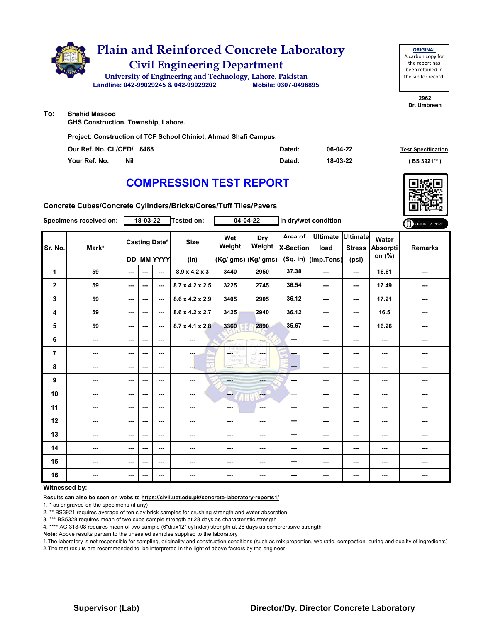

| <b>ORIGINAL</b>     |
|---------------------|
| A carbon copy for   |
| the report has      |
| been retained in    |
| the lab for record. |
|                     |

**2962 Dr. Umbreen**

**To: Shahid Masood**

**GHS Construction. Township, Lahore.**

**Project: Construction of TCF School Chiniot, Ahmad Shafi Campus.**

| Our Ref. No. CL/CED/ 8488 | Dated: | 06-04-22 | <b>Test Specification</b> |
|---------------------------|--------|----------|---------------------------|
| Nil<br>Your Ref. No.      | Dated: | 18-03-22 | ( BS 3921**               |

## **COMPRESSION TEST REPORT**

**Concrete Cubes/Concrete Cylinders/Bricks/Cores/Tuff Tiles/Pavers**

| Specimens received on: | 18-03-22 |                          |                   | <b>Tested on:</b>    | $04 - 04 - 22$              |                          | in dry/wet condition |                             |                         |                                  | ONLINE REPORT                      |                          |
|------------------------|----------|--------------------------|-------------------|----------------------|-----------------------------|--------------------------|----------------------|-----------------------------|-------------------------|----------------------------------|------------------------------------|--------------------------|
| Sr. No.<br>Mark*       |          |                          |                   | <b>Casting Date*</b> | <b>Size</b>                 | Wet<br>Weight            | Dry<br>Weight        | Area of<br><b>X-Section</b> | <b>Ultimate</b><br>load | <b>Ultimate</b><br><b>Stress</b> | Water<br><b>Absorpti</b><br>on (%) | <b>Remarks</b>           |
|                        |          |                          | <b>DD MM YYYY</b> |                      | (in)                        |                          | (Kg/ gms) (Kg/ gms)  | $(Sq.$ in)                  | (Imp.Tons)              | (psi)                            |                                    |                          |
| 1                      | 59       | $\overline{\phantom{a}}$ | ---               | ---                  | $8.9 \times 4.2 \times 3$   | 3440                     | 2950                 | 37.38                       | ---                     | ---                              | 16.61                              | ---                      |
| $\mathbf{2}$           | 59       | $- - -$                  | ---               | $\sim$               | $8.7 \times 4.2 \times 2.5$ | 3225                     | 2745                 | 36.54                       | ---                     | ---                              | 17.49                              | ---                      |
| 3                      | 59       | ---                      | ---               | ---                  | 8.6 x 4.2 x 2.9             | 3405                     | 2905                 | 36.12                       | $--$                    | $--$                             | 17.21                              | ---                      |
| 4                      | 59       | ---                      | ---               | ---                  | $8.6 \times 4.2 \times 2.7$ | 3425                     | 2940                 | 36.12                       | ---                     | ---                              | 16.5                               | $\overline{\phantom{a}}$ |
| 5                      | 59       | ---                      | ---               | $\sim$               | $8.7 \times 4.1 \times 2.8$ | 3360                     | 2890                 | 35.67                       | ---                     | ---                              | 16.26                              | ---                      |
| 6                      | ---      | $\sim$ $\sim$            | ---               | $\sim$ $\sim$        | ---                         | <b>Albert</b>            | ---                  | ---                         | ---                     | ---                              | ---                                | ---                      |
| $\overline{7}$         | ---      | ---                      | ---               | ---                  | ---                         | CETHY<br>LORD WH         | ---                  | ---                         | ---                     | $--$                             | ---                                | ---                      |
| 8                      | ---      | ---                      | ---               | ---                  | ---                         | ---                      | ---                  | $\qquad \qquad \cdots$      | ---                     | ---                              | ---                                | ---                      |
| $\boldsymbol{9}$       | ---      | ---                      | ---               | ---                  | ---                         | $- - -$                  | <b>SHOP</b>          | ---                         | ---                     | ---                              | ---                                | ---                      |
| 10                     | ---      | $\overline{\phantom{a}}$ | ---               | ---                  | ---                         | ---                      | $-1$                 | ---                         | ---                     | ---                              | ---                                | ---                      |
| 11                     | ---      | $\sim$ $\sim$            | ---               | ---                  | ---                         | $\overline{\phantom{a}}$ | ---                  | ---                         | $--$                    | $--$                             | ---                                | ---                      |
| 12                     | ---      | ---                      | ---               | ---                  | ---                         | ---                      | ---                  | ---                         | ---                     | ---                              | ---                                | ---                      |
| 13                     | ---      | ---                      | ---               | ---                  | ---                         | ---                      | ---                  | ---                         | ---                     | ---                              | ---                                | ---                      |
| 14                     | ---      | ---                      | ---               | ---                  | ---                         | ---                      | ---                  | ---                         | ---                     | $--$                             | ---                                | ---                      |
| 15                     | ---      | $\overline{\phantom{a}}$ | ---               | ---                  | $\sim$                      | ---                      | ---                  | ---                         | ---                     | ---                              | ---                                | ---                      |
| 16                     | ---      | $\overline{\phantom{a}}$ | ---               | ---                  | ---                         | ---                      | ---                  | ---                         | ---                     | ---                              | ---                                | ---                      |
| <b>Witnessed by:</b>   |          |                          |                   |                      |                             |                          |                      |                             |                         |                                  |                                    |                          |

### **Witnessed by:**

**Results can also be seen on website https://civil.uet.edu.pk/concrete-laboratory-reports1/**

1. \* as engraved on the specimens (if any)

2. \*\* BS3921 requires average of ten clay brick samples for crushing strength and water absorption

3. \*\*\* BS5328 requires mean of two cube sample strength at 28 days as characteristic strength

4. \*\*\*\* ACI318-08 requires mean of two sample (6"diax12" cylinder) strength at 28 days as comprerssive strength

**Note:** Above results pertain to the unsealed samples supplied to the laboratory

1.The laboratory is not responsible for sampling, originality and construction conditions (such as mix proportion, w/c ratio, compaction, curing and quality of ingredients) 2.The test results are recommended to be interpreted in the light of above factors by the engineer.

### **Supervisor (Lab) Director/Dy. Director Concrete Laboratory**

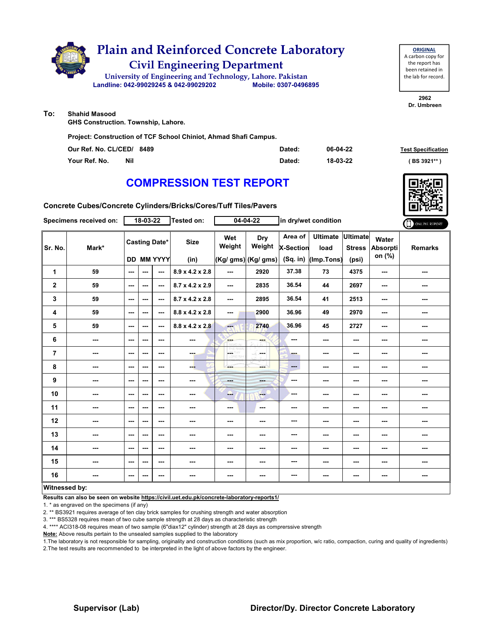

**ORIGINAL** A carbon copy for the report has been retained in the lab for record.

**2962 Dr. Umbreen**

**To: Shahid Masood**

**GHS Construction. Township, Lahore.**

**Project: Construction of TCF School Chiniot, Ahmad Shafi Campus.**

| Our Ref. No. CL/CED/ 8489 | Dated: | 06-04-22 | <b>Test Specification</b> |
|---------------------------|--------|----------|---------------------------|
| Your Ref. No.<br>Nil      | Dated: | 18-03-22 | ( BS 3921**               |

# **COMPRESSION TEST REPORT**

**Concrete Cubes/Concrete Cylinders/Bricks/Cores/Tuff Tiles/Pavers**

| Specimens received on: | 18-03-22 |                          |     | <b>Tested on:</b><br>$04 - 04 - 22$       |                             | in dry/wet condition                                                                           |                                       |                                           |                                       | ONLINE REPORT                             |                             |                |
|------------------------|----------|--------------------------|-----|-------------------------------------------|-----------------------------|------------------------------------------------------------------------------------------------|---------------------------------------|-------------------------------------------|---------------------------------------|-------------------------------------------|-----------------------------|----------------|
| Sr. No.                | Mark*    |                          |     | <b>Casting Date*</b><br><b>DD MM YYYY</b> | <b>Size</b><br>(in)         | Wet<br>Weight                                                                                  | Dry<br>Weight<br>$(Kg/gms)$ (Kg/ gms) | Area of<br><b>X-Section</b><br>$(Sq.$ in) | <b>Ultimate</b><br>load<br>(Imp.Tons) | <b>Ultimate</b><br><b>Stress</b><br>(psi) | Water<br>Absorpti<br>on (%) | <b>Remarks</b> |
| 1                      | 59       | $\overline{\phantom{a}}$ | --- | ---                                       | 8.9 x 4.2 x 2.8             | $\frac{1}{2} \left( \frac{1}{2} \right) \left( \frac{1}{2} \right) \left( \frac{1}{2} \right)$ | 2920                                  | 37.38                                     | 73                                    | 4375                                      | ---                         | ---            |
| $\mathbf 2$            | 59       | ---                      | --- | ---                                       | $8.7 \times 4.2 \times 2.9$ | $\sim$ $\sim$                                                                                  | 2835                                  | 36.54                                     | 44                                    | 2697                                      | ---                         | ---            |
| 3                      | 59       | $\sim$ $\sim$            | --- | $\sim$                                    | 8.7 x 4.2 x 2.8             | ---                                                                                            | 2895                                  | 36.54                                     | 41                                    | 2513                                      | ---                         | ---            |
| 4                      | 59       | $\sim$ $\sim$            | --- | $\sim$                                    | 8.8 x 4.2 x 2.8             | ---                                                                                            | 2900                                  | 36.96                                     | 49                                    | 2970                                      | ---                         | ---            |
| 5                      | 59       | ---                      | --- | ---                                       | $8.8 \times 4.2 \times 2.8$ | ---                                                                                            | 2740                                  | 36.96                                     | 45                                    | 2727                                      | ---                         | ---            |
| 6                      | ---      | $--$                     | --- | $--$                                      | $\overline{\phantom{a}}$    | <b>Albert</b>                                                                                  |                                       | ---                                       | ---                                   | ---                                       | ---                         | ---            |
| 7                      | ---      | ---                      | --- | ---                                       | ---                         | CETHY<br>LORD WHO                                                                              | $\frac{1}{2}$<br><b>Base</b>          | ---                                       | ---                                   | ---                                       | ---                         | ---            |
| 8                      | ---      | $\sim$ $\sim$            | --- | ---                                       | --                          | ---                                                                                            | ---                                   | ---                                       | ---                                   | $--$                                      | ---                         | ---            |
| 9                      | ---      | $--$                     | --- | ---                                       | $\cdots$                    | <b>House</b>                                                                                   | ---                                   | ---                                       | ---                                   | ---                                       | ---                         | ---            |
| 10                     | ---      | ---                      | --- | ---                                       | ---                         | ---                                                                                            | <b>Here</b>                           | ---                                       | ---                                   | ---                                       | ---                         | ---            |
| 11                     | ---      | $\sim$ $\sim$            | --- | ---                                       | ---                         | ---                                                                                            | $\sim$                                | ---                                       | ---                                   | ---                                       | ---                         | ---            |
| 12                     | ---      | ---                      | --- | ---                                       | ---                         | ---                                                                                            | ---                                   | ---                                       | ---                                   | ---                                       | ---                         | ---            |
| 13                     | ---      | $--$                     | --- | ---                                       | ---                         | ---                                                                                            | ---                                   | ---                                       | ---                                   | ---                                       | ---                         |                |
| 14                     | ---      | ---                      | --- | $-$                                       | $- - -$                     | ---                                                                                            | ---                                   | ---                                       | ---                                   | $- - -$                                   | ---                         | ---            |
| 15                     | ---      | $--$                     | --- | ---                                       | ---                         | ---                                                                                            | ---                                   | ---                                       | ---                                   | ---                                       | ---                         | ---            |
| 16                     | ---      | ---                      | --- | $\overline{\phantom{a}}$                  | ---                         | ---                                                                                            | ---                                   | ---                                       | ---                                   | ---                                       | ---                         | ---            |
| Witnessed by:          |          |                          |     |                                           |                             |                                                                                                |                                       |                                           |                                       |                                           |                             |                |

### **Witnessed by:**

**Results can also be seen on website https://civil.uet.edu.pk/concrete-laboratory-reports1/**

1. \* as engraved on the specimens (if any)

2. \*\* BS3921 requires average of ten clay brick samples for crushing strength and water absorption

3. \*\*\* BS5328 requires mean of two cube sample strength at 28 days as characteristic strength

4. \*\*\*\* ACI318-08 requires mean of two sample (6"diax12" cylinder) strength at 28 days as comprerssive strength

**Note:** Above results pertain to the unsealed samples supplied to the laboratory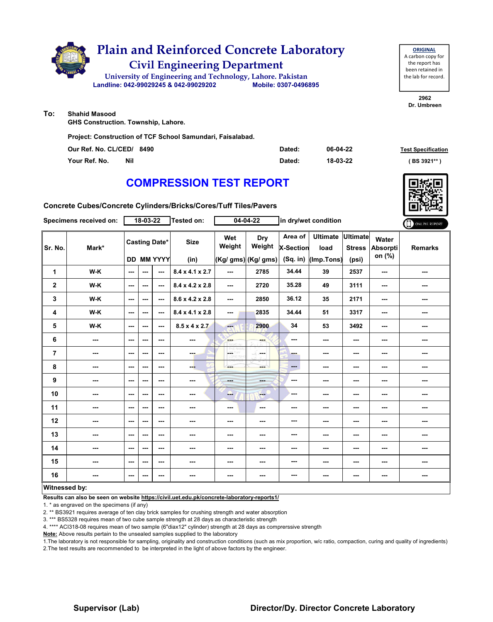

**To: Shahid Masood**

**GHS Construction. Township, Lahore.**

**Project: Construction of TCF School Samundari, Faisalabad.**

| Our Ref. No. CL/CED/ 8490 | Dated: | 06-04-22 | <b>Test Specification</b> |
|---------------------------|--------|----------|---------------------------|
| Your Ref. No.<br>Nil      | Dated: | 18-03-22 | ( BS 3921**               |

# **COMPRESSION TEST REPORT**

**Concrete Cubes/Concrete Cylinders/Bricks/Cores/Tuff Tiles/Pavers**

| Specimens received on: |       | 18-03-22                 |     |                                           | <b>Tested on:</b>           | $04 - 04 - 22$           |                                      | in dry/wet condition                    |                                       |                                           |                             | ONLINE REPORT  |
|------------------------|-------|--------------------------|-----|-------------------------------------------|-----------------------------|--------------------------|--------------------------------------|-----------------------------------------|---------------------------------------|-------------------------------------------|-----------------------------|----------------|
| Sr. No.                | Mark* |                          |     | <b>Casting Date*</b><br><b>DD MM YYYY</b> | <b>Size</b><br>(in)         | Wet<br>Weight            | Dry<br>Weight<br>(Kg/ gms) (Kg/ gms) | Area of<br><b>X-Section</b><br>(Sq. in) | <b>Ultimate</b><br>load<br>(Imp.Tons) | <b>Ultimate</b><br><b>Stress</b><br>(psi) | Water<br>Absorpti<br>on (%) | <b>Remarks</b> |
| 1                      | W-K   | $\sim$                   | --- | $\overline{a}$                            | $8.4 \times 4.1 \times 2.7$ | ---                      | 2785                                 | 34.44                                   | 39                                    | 2537                                      | ---                         | ---            |
| $\mathbf 2$            | W-K   | $\sim$                   | --- | $\sim$ $\sim$                             | 8.4 x 4.2 x 2.8             | $--$                     | 2720                                 | 35.28                                   | 49                                    | 3111                                      | ---                         | ---            |
| 3                      | W-K   | $\sim$                   | --- | $\sim$ $\sim$                             | 8.6 x 4.2 x 2.8             | ---                      | 2850                                 | 36.12                                   | 35                                    | 2171                                      | ---                         | ---            |
| 4                      | W-K   | $\sim$ $\sim$            | --- | $\sim$ $\sim$                             | $8.4 \times 4.1 \times 2.8$ | ---                      | 2835                                 | 34.44                                   | 51                                    | 3317                                      | ---                         | ---            |
| 5                      | W-K   | ---                      | --- | $\sim$ $\sim$                             | $8.5 \times 4 \times 2.7$   | <b>Age</b>               | 2900                                 | 34                                      | 53                                    | 3492                                      | ---                         | ---            |
| 6                      | ---   | $\overline{\phantom{a}}$ | --- | $\overline{\phantom{a}}$                  | $\sim$                      | ---                      | ---                                  | ---                                     | ---                                   | ---                                       | ---                         | ---            |
| 7                      | ---   | ---                      | --- | ---                                       | ---                         | <b>GETHY</b><br>LORD WHO | -F.<br>---                           | <b>Barnet</b>                           | ---                                   | ---                                       | ---                         | ---            |
| 8                      | ---   | $\sim$ $\sim$            | --- | $\sim$ $\sim$                             | --                          | ---                      | mana i                               | $---$                                   | ---                                   | ---                                       | ---                         | ---            |
| 9                      | ---   | $\sim$ $\sim$            | --- | $\sim$ $\sim$                             | $\sim$                      | ---                      | ener.                                | ---                                     | ---                                   | $\overline{\phantom{a}}$                  | ---                         | ---            |
| 10                     | ---   | $--$                     | --- | $\overline{\phantom{a}}$                  | ---                         | ---                      | $\qquad \qquad -$                    | ---                                     | ---                                   | ---                                       | ---                         | ---            |
| 11                     | ---   | $\overline{\phantom{a}}$ | --- | $\sim$                                    | $\sim$                      | ---                      | $\sim$                               | ---                                     | ---                                   | ---                                       | ---                         | ---            |
| 12                     | ---   | $--$                     | --- | ---                                       | ---                         | ---                      | ---                                  | ---                                     | ---                                   | ---                                       | ---                         | ---            |
| 13                     | ---   | $\sim$                   | --- | ---                                       | ---                         | ---                      | ---                                  | ---                                     | ---                                   | ---                                       | ---                         | ---            |
| 14                     | ---   | $-$                      | --- | $- - -$                                   | $\sim$                      | ---                      | ---                                  | ---                                     | ---                                   | $\overline{\phantom{a}}$                  | ---                         | ---            |
| 15                     | ---   | $--$                     | --- | $\overline{\phantom{a}}$                  | $\sim$                      | ---                      | ---                                  | ---                                     | ---                                   | ---                                       | ---                         | ---            |
| 16                     | ---   | $\overline{\phantom{a}}$ | --- | ---                                       | ---                         | ---                      | ---                                  | ---                                     | ---                                   | ---                                       | ---                         | ---            |
| Witnessed by:          |       |                          |     |                                           |                             |                          |                                      |                                         |                                       |                                           |                             |                |

### **Witnessed by:**

**Results can also be seen on website https://civil.uet.edu.pk/concrete-laboratory-reports1/**

1. \* as engraved on the specimens (if any)

2. \*\* BS3921 requires average of ten clay brick samples for crushing strength and water absorption

3. \*\*\* BS5328 requires mean of two cube sample strength at 28 days as characteristic strength

4. \*\*\*\* ACI318-08 requires mean of two sample (6"diax12" cylinder) strength at 28 days as comprerssive strength

**Note:** Above results pertain to the unsealed samples supplied to the laboratory

1.The laboratory is not responsible for sampling, originality and construction conditions (such as mix proportion, w/c ratio, compaction, curing and quality of ingredients) 2.The test results are recommended to be interpreted in the light of above factors by the engineer.

### **Supervisor (Lab) Director/Dy. Director Concrete Laboratory**